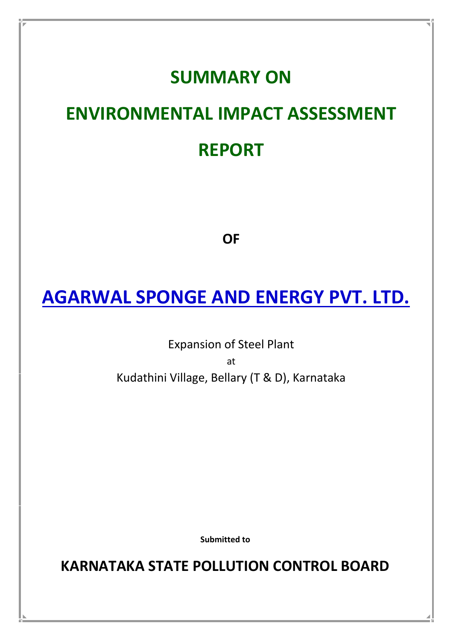# **SUMMARY ON**

# **ENVIRONMENTAL IMPACT ASSESSMENT REPORT**

**OF**

# **AGARWAL SPONGE AND ENERGY PVT. LTD.**

Expansion of Steel Plant at Kudathini Village, Bellary (T & D), Karnataka

**Submitted to**

**KARNATAKA STATE POLLUTION CONTROL BOARD**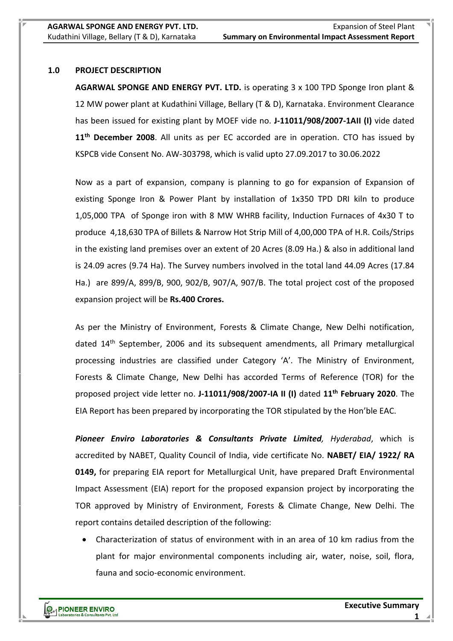#### **1.0 PROJECT DESCRIPTION**

**AGARWAL SPONGE AND ENERGY PVT. LTD.** is operating 3 x 100 TPD Sponge Iron plant & 12 MW power plant at Kudathini Village, Bellary (T & D), Karnataka. Environment Clearance has been issued for existing plant by MOEF vide no. **J-11011/908/2007-1AII (I)** vide dated **11th December 2008**. All units as per EC accorded are in operation. CTO has issued by KSPCB vide Consent No. AW-303798, which is valid upto 27.09.2017 to 30.06.2022

Now as a part of expansion, company is planning to go for expansion of Expansion of existing Sponge Iron & Power Plant by installation of 1x350 TPD DRI kiln to produce 1,05,000 TPA of Sponge iron with 8 MW WHRB facility, Induction Furnaces of 4x30 T to produce 4,18,630 TPA of Billets & Narrow Hot Strip Mill of 4,00,000 TPA of H.R. Coils/Strips in the existing land premises over an extent of 20 Acres (8.09 Ha.) & also in additional land is 24.09 acres (9.74 Ha). The Survey numbers involved in the total land 44.09 Acres (17.84 Ha.) are 899/A, 899/B, 900, 902/B, 907/A, 907/B. The total project cost of the proposed expansion project will be **Rs.400 Crores.**

As per the Ministry of Environment, Forests & Climate Change, New Delhi notification, dated 14<sup>th</sup> September, 2006 and its subsequent amendments, all Primary metallurgical processing industries are classified under Category 'A'. The Ministry of Environment, Forests & Climate Change, New Delhi has accorded Terms of Reference (TOR) for the proposed project vide letter no. **J-11011/908/2007-IA II (I)** dated **11th February 2020**. The EIA Report has been prepared by incorporating the TOR stipulated by the Hon'ble EAC.

*Pioneer Enviro Laboratories & Consultants Private Limited, Hyderabad*, which is accredited by NABET, Quality Council of India, vide certificate No. **NABET/ EIA/ 1922/ RA 0149,** for preparing EIA report for Metallurgical Unit, have prepared Draft Environmental Impact Assessment (EIA) report for the proposed expansion project by incorporating the TOR approved by Ministry of Environment, Forests & Climate Change, New Delhi. The report contains detailed description of the following:

 Characterization of status of environment with in an area of 10 km radius from the plant for major environmental components including air, water, noise, soil, flora, fauna and socio-economic environment.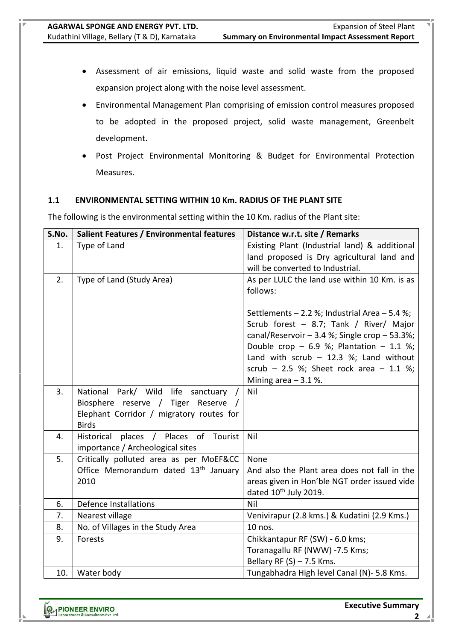- Assessment of air emissions, liquid waste and solid waste from the proposed expansion project along with the noise level assessment.
- Environmental Management Plan comprising of emission control measures proposed to be adopted in the proposed project, solid waste management, Greenbelt development.
- Post Project Environmental Monitoring & Budget for Environmental Protection Measures.

# **1.1 ENVIRONMENTAL SETTING WITHIN 10 Km. RADIUS OF THE PLANT SITE**

The following is the environmental setting within the 10 Km. radius of the Plant site:

| S.No. | Salient Features / Environmental features        | Distance w.r.t. site / Remarks                                   |
|-------|--------------------------------------------------|------------------------------------------------------------------|
| 1.    | Type of Land                                     | Existing Plant (Industrial land) & additional                    |
|       |                                                  | land proposed is Dry agricultural land and                       |
|       |                                                  | will be converted to Industrial.                                 |
| 2.    | Type of Land (Study Area)                        | As per LULC the land use within 10 Km. is as                     |
|       |                                                  | follows:                                                         |
|       |                                                  | Settlements $-2.2$ %; Industrial Area $-5.4$ %;                  |
|       |                                                  | Scrub forest - 8.7; Tank / River/ Major                          |
|       |                                                  | canal/Reservoir $-3.4$ %; Single crop $-53.3$ %;                 |
|       |                                                  | Double crop - 6.9 %; Plantation - 1.1 %;                         |
|       |                                                  | Land with scrub $-$ 12.3 %; Land without                         |
|       |                                                  | scrub - 2.5 %; Sheet rock area - 1.1 %;<br>Mining area $-3.1$ %. |
| 3.    | National Park/ Wild life sanctuary /             | Nil                                                              |
|       | Biosphere reserve / Tiger Reserve /              |                                                                  |
|       | Elephant Corridor / migratory routes for         |                                                                  |
|       | <b>Birds</b>                                     |                                                                  |
| 4.    | Historical places / Places of Tourist            | Nil                                                              |
|       | importance / Archeological sites                 |                                                                  |
| 5.    | Critically polluted area as per MoEF&CC          | None                                                             |
|       | Office Memorandum dated 13 <sup>th</sup> January | And also the Plant area does not fall in the                     |
|       | 2010                                             | areas given in Hon'ble NGT order issued vide                     |
|       |                                                  | dated 10 <sup>th</sup> July 2019.                                |
| 6.    | <b>Defence Installations</b>                     | Nil                                                              |
| 7.    | Nearest village                                  | Venivirapur (2.8 kms.) & Kudatini (2.9 Kms.)                     |
| 8.    | No. of Villages in the Study Area                | 10 nos.                                                          |
| 9.    | Forests                                          | Chikkantapur RF (SW) - 6.0 kms;                                  |
|       |                                                  | Toranagallu RF (NWW) -7.5 Kms;                                   |
|       |                                                  | Bellary RF $(S)$ – 7.5 Kms.                                      |
| 10.   | Water body                                       | Tungabhadra High level Canal (N)- 5.8 Kms.                       |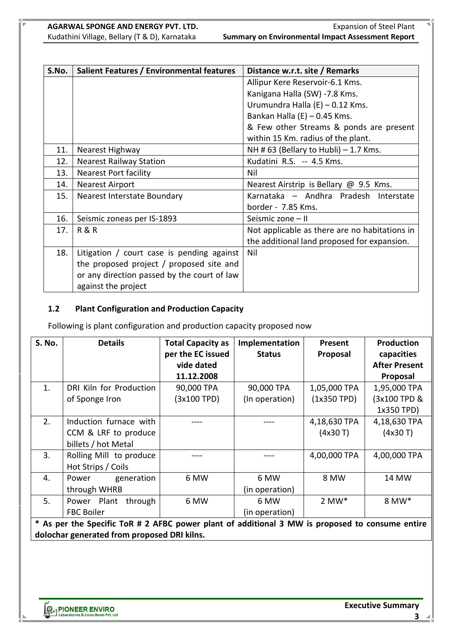| S.No. | Salient Features / Environmental features    | Distance w.r.t. site / Remarks                |  |  |
|-------|----------------------------------------------|-----------------------------------------------|--|--|
|       |                                              | Allipur Kere Reservoir-6.1 Kms.               |  |  |
|       |                                              | Kanigana Halla (SW) -7.8 Kms.                 |  |  |
|       |                                              | Urumundra Halla (E) – 0.12 Kms.               |  |  |
|       |                                              | Bankan Halla $(E)$ – 0.45 Kms.                |  |  |
|       |                                              | & Few other Streams & ponds are present       |  |  |
|       |                                              | within 15 Km. radius of the plant.            |  |  |
| 11.   | Nearest Highway                              | NH # 63 (Bellary to Hubli) $-$ 1.7 Kms.       |  |  |
| 12.   | <b>Nearest Railway Station</b>               | Kudatini R.S. -- 4.5 Kms.                     |  |  |
| 13.   | <b>Nearest Port facility</b>                 | Nil                                           |  |  |
| 14.   | <b>Nearest Airport</b>                       | Nearest Airstrip is Bellary @ 9.5 Kms.        |  |  |
| 15.   | Nearest Interstate Boundary                  | Karnataka - Andhra Pradesh Interstate         |  |  |
|       |                                              | border - 7.85 Kms.                            |  |  |
| 16.   | Seismic zoneas per IS-1893                   | Seismic zone - II                             |  |  |
| 17.   | <b>R&amp;R</b>                               | Not applicable as there are no habitations in |  |  |
|       |                                              | the additional land proposed for expansion.   |  |  |
| 18.   | Litigation $/$ court case is pending against | Nil                                           |  |  |
|       | the proposed project / proposed site and     |                                               |  |  |
|       | or any direction passed by the court of law  |                                               |  |  |
|       | against the project                          |                                               |  |  |

# **1.2 Plant Configuration and Production Capacity**

Following is plant configuration and production capacity proposed now

| <b>S. No.</b> | <b>Details</b>                                                                                  | <b>Total Capacity as</b><br>per the EC issued | Implementation<br><b>Status</b> | Present<br>Proposal | <b>Production</b><br>capacities |
|---------------|-------------------------------------------------------------------------------------------------|-----------------------------------------------|---------------------------------|---------------------|---------------------------------|
|               |                                                                                                 | vide dated                                    |                                 |                     | <b>After Present</b>            |
|               |                                                                                                 | 11.12.2008                                    |                                 |                     | Proposal                        |
| 1.            | DRI Kiln for Production                                                                         | 90,000 TPA                                    | 90,000 TPA                      | 1,05,000 TPA        | 1,95,000 TPA                    |
|               | of Sponge Iron                                                                                  | (3x100 TPD)                                   | (In operation)                  | $(1x350$ TPD)       | (3x100 TPD &                    |
|               |                                                                                                 |                                               |                                 |                     | 1x350 TPD)                      |
| 2.            | Induction furnace with                                                                          |                                               |                                 | 4,18,630 TPA        | 4,18,630 TPA                    |
|               | CCM & LRF to produce                                                                            |                                               |                                 | (4x30 T)            | (4x30T)                         |
|               | billets / hot Metal                                                                             |                                               |                                 |                     |                                 |
| 3.            | Rolling Mill to produce                                                                         |                                               |                                 | 4,00,000 TPA        | 4,00,000 TPA                    |
|               | Hot Strips / Coils                                                                              |                                               |                                 |                     |                                 |
| 4.            | generation<br>Power                                                                             | 6 MW                                          | 6 MW                            | 8 MW                | 14 MW                           |
|               | through WHRB                                                                                    |                                               | (in operation)                  |                     |                                 |
| 5.            | Power Plant<br>through                                                                          | 6 MW                                          | 6 MW                            | $2$ MW $*$          | 8 MW*                           |
|               | <b>FBC Boiler</b>                                                                               |                                               | (in operation)                  |                     |                                 |
|               | * As ner the Specific ToR # 2 AFRC nower plant of additional 3 MW is proposed to consume entire |                                               |                                 |                     |                                 |

As per the Specific ToR # 2 AFBC power plant of additional 3 MW is **dolochar generated from proposed DRI kilns.**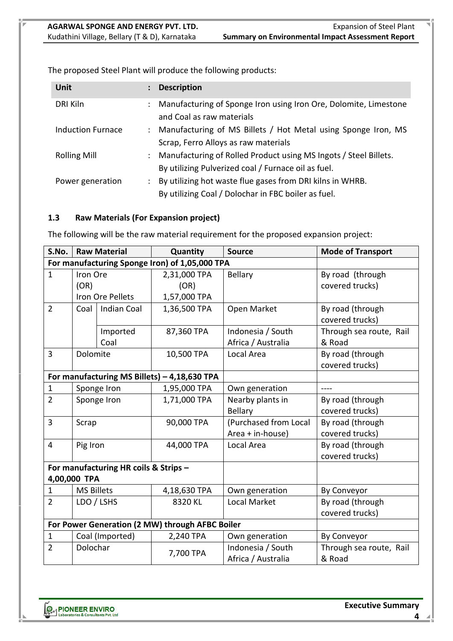**Unit : Description** DRI Kiln : Manufacturing of Sponge Iron using Iron Ore, Dolomite, Limestone and Coal as raw materials Induction Furnace : Manufacturing of MS Billets / Hot Metal using Sponge Iron, MS Scrap, Ferro Alloys as raw materials Rolling Mill : Manufacturing of Rolled Product using MS Ingots / Steel Billets. By utilizing Pulverized coal / Furnace oil as fuel. Power generation : By utilizing hot waste flue gases from DRI kilns in WHRB. By utilizing Coal / Dolochar in FBC boiler as fuel.

The proposed Steel Plant will produce the following products:

# **1.3 Raw Materials (For Expansion project)**

The following will be the raw material requirement for the proposed expansion project:

| S.No.          | <b>Raw Material</b> |                                       | Quantity                                        | <b>Source</b>         | <b>Mode of Transport</b> |
|----------------|---------------------|---------------------------------------|-------------------------------------------------|-----------------------|--------------------------|
|                |                     |                                       | For manufacturing Sponge Iron) of 1,05,000 TPA  |                       |                          |
| $\mathbf{1}$   | Iron Ore            |                                       | 2,31,000 TPA                                    | <b>Bellary</b>        | By road (through         |
|                | (OR)                |                                       | (OR)                                            |                       | covered trucks)          |
|                |                     | Iron Ore Pellets                      | 1,57,000 TPA                                    |                       |                          |
| $\overline{2}$ | Coal                | <b>Indian Coal</b>                    | 1,36,500 TPA                                    | Open Market           | By road (through         |
|                |                     |                                       |                                                 |                       | covered trucks)          |
|                |                     | Imported                              | 87,360 TPA                                      | Indonesia / South     | Through sea route, Rail  |
|                |                     | Coal                                  |                                                 | Africa / Australia    | & Road                   |
| $\overline{3}$ | Dolomite            |                                       | 10,500 TPA                                      | Local Area            | By road (through         |
|                |                     |                                       |                                                 |                       | covered trucks)          |
|                |                     |                                       | For manufacturing MS Billets) - 4,18,630 TPA    |                       |                          |
| 1              |                     | Sponge Iron                           | 1,95,000 TPA                                    | Own generation        | $---$                    |
| $\overline{2}$ |                     | Sponge Iron                           | 1,71,000 TPA                                    | Nearby plants in      | By road (through         |
|                |                     |                                       |                                                 | <b>Bellary</b>        | covered trucks)          |
| 3              | Scrap               |                                       | 90,000 TPA                                      | (Purchased from Local | By road (through         |
|                |                     |                                       |                                                 | Area + in-house)      | covered trucks)          |
| $\overline{4}$ | Pig Iron            |                                       | 44,000 TPA                                      | Local Area            | By road (through         |
|                |                     |                                       |                                                 |                       | covered trucks)          |
|                |                     | For manufacturing HR coils & Strips - |                                                 |                       |                          |
|                | 4,00,000 TPA        |                                       |                                                 |                       |                          |
| $\mathbf{1}$   | <b>MS Billets</b>   |                                       | 4,18,630 TPA                                    | Own generation        | By Conveyor              |
| $\overline{2}$ |                     | LDO / LSHS                            | 8320 KL                                         | <b>Local Market</b>   | By road (through         |
|                |                     |                                       |                                                 |                       | covered trucks)          |
|                |                     |                                       | For Power Generation (2 MW) through AFBC Boiler |                       |                          |
| $\mathbf{1}$   |                     | Coal (Imported)                       | 2,240 TPA                                       | Own generation        | By Conveyor              |
| $\overline{2}$ | Dolochar            |                                       | 7,700 TPA                                       | Indonesia / South     | Through sea route, Rail  |
|                |                     |                                       |                                                 | Africa / Australia    | & Road                   |

**Executive Summary**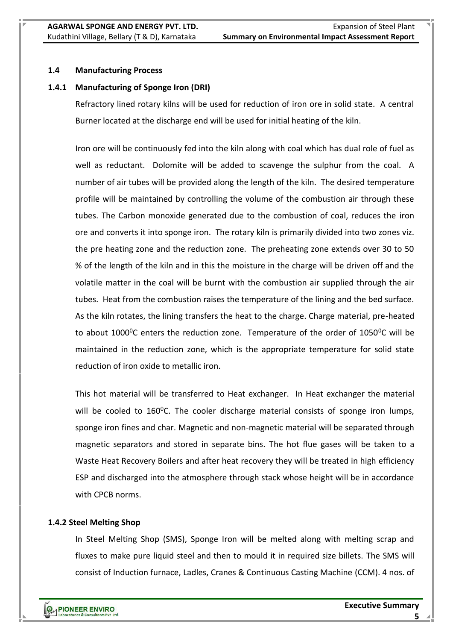# **1.4 Manufacturing Process**

# **1.4.1 Manufacturing of Sponge Iron (DRI)**

Refractory lined rotary kilns will be used for reduction of iron ore in solid state. A central Burner located at the discharge end will be used for initial heating of the kiln.

Iron ore will be continuously fed into the kiln along with coal which has dual role of fuel as well as reductant. Dolomite will be added to scavenge the sulphur from the coal. A number of air tubes will be provided along the length of the kiln. The desired temperature profile will be maintained by controlling the volume of the combustion air through these tubes. The Carbon monoxide generated due to the combustion of coal, reduces the iron ore and converts it into sponge iron. The rotary kiln is primarily divided into two zones viz. the pre heating zone and the reduction zone. The preheating zone extends over 30 to 50 % of the length of the kiln and in this the moisture in the charge will be driven off and the volatile matter in the coal will be burnt with the combustion air supplied through the air tubes. Heat from the combustion raises the temperature of the lining and the bed surface. As the kiln rotates, the lining transfers the heat to the charge. Charge material, pre-heated to about 1000 $^{\circ}$ C enters the reduction zone. Temperature of the order of 1050 $^{\circ}$ C will be maintained in the reduction zone, which is the appropriate temperature for solid state reduction of iron oxide to metallic iron.

This hot material will be transferred to Heat exchanger. In Heat exchanger the material will be cooled to  $160^{\circ}$ C. The cooler discharge material consists of sponge iron lumps, sponge iron fines and char. Magnetic and non-magnetic material will be separated through magnetic separators and stored in separate bins. The hot flue gases will be taken to a Waste Heat Recovery Boilers and after heat recovery they will be treated in high efficiency ESP and discharged into the atmosphere through stack whose height will be in accordance with CPCB norms.

#### **1.4.2 Steel Melting Shop**

In Steel Melting Shop (SMS), Sponge Iron will be melted along with melting scrap and fluxes to make pure liquid steel and then to mould it in required size billets. The SMS will consist of Induction furnace, Ladles, Cranes & Continuous Casting Machine (CCM). 4 nos. of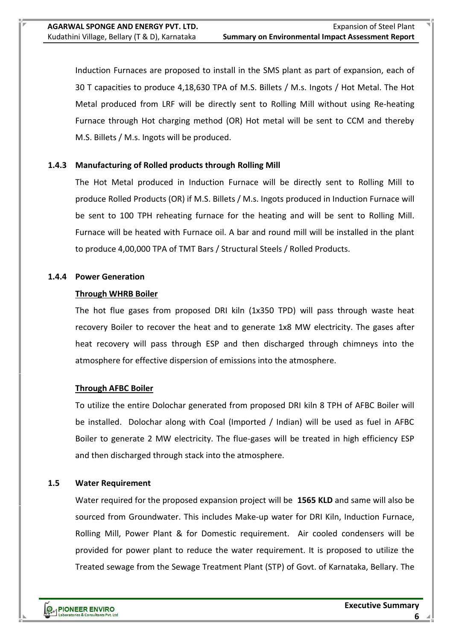Induction Furnaces are proposed to install in the SMS plant as part of expansion, each of 30 T capacities to produce 4,18,630 TPA of M.S. Billets / M.s. Ingots / Hot Metal. The Hot Metal produced from LRF will be directly sent to Rolling Mill without using Re-heating Furnace through Hot charging method (OR) Hot metal will be sent to CCM and thereby M.S. Billets / M.s. Ingots will be produced.

# **1.4.3 Manufacturing of Rolled products through Rolling Mill**

The Hot Metal produced in Induction Furnace will be directly sent to Rolling Mill to produce Rolled Products (OR) if M.S. Billets / M.s. Ingots produced in Induction Furnace will be sent to 100 TPH reheating furnace for the heating and will be sent to Rolling Mill. Furnace will be heated with Furnace oil. A bar and round mill will be installed in the plant to produce 4,00,000 TPA of TMT Bars / Structural Steels / Rolled Products.

#### **1.4.4 Power Generation**

#### **Through WHRB Boiler**

The hot flue gases from proposed DRI kiln (1x350 TPD) will pass through waste heat recovery Boiler to recover the heat and to generate 1x8 MW electricity. The gases after heat recovery will pass through ESP and then discharged through chimneys into the atmosphere for effective dispersion of emissions into the atmosphere.

#### **Through AFBC Boiler**

To utilize the entire Dolochar generated from proposed DRI kiln 8 TPH of AFBC Boiler will be installed. Dolochar along with Coal (Imported / Indian) will be used as fuel in AFBC Boiler to generate 2 MW electricity. The flue-gases will be treated in high efficiency ESP and then discharged through stack into the atmosphere.

#### **1.5 Water Requirement**

Water required for the proposed expansion project will be **1565 KLD** and same will also be sourced from Groundwater. This includes Make-up water for DRI Kiln, Induction Furnace, Rolling Mill, Power Plant & for Domestic requirement. Air cooled condensers will be provided for power plant to reduce the water requirement. It is proposed to utilize the Treated sewage from the Sewage Treatment Plant (STP) of Govt. of Karnataka, Bellary. The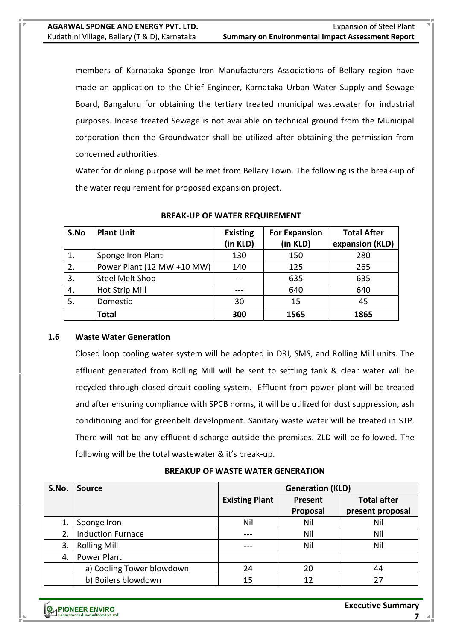members of Karnataka Sponge Iron Manufacturers Associations of Bellary region have made an application to the Chief Engineer, Karnataka Urban Water Supply and Sewage Board, Bangaluru for obtaining the tertiary treated municipal wastewater for industrial purposes. Incase treated Sewage is not available on technical ground from the Municipal corporation then the Groundwater shall be utilized after obtaining the permission from concerned authorities.

Water for drinking purpose will be met from Bellary Town. The following is the break-up of the water requirement for proposed expansion project.

| S.No | <b>Plant Unit</b>          | <b>Existing</b><br>(in KLD) | <b>For Expansion</b><br>(in KLD) | <b>Total After</b><br>expansion (KLD) |
|------|----------------------------|-----------------------------|----------------------------------|---------------------------------------|
| 1.   | Sponge Iron Plant          | 130                         | 150                              | 280                                   |
| 2.   | Power Plant (12 MW +10 MW) | 140                         | 125                              | 265                                   |
| 3.   | Steel Melt Shop            |                             | 635                              | 635                                   |
| 4.   | Hot Strip Mill             |                             | 640                              | 640                                   |
| 5.   | Domestic                   | 30                          | 15                               | 45                                    |
|      | Total                      | 300                         | 1565                             | 1865                                  |

#### **BREAK-UP OF WATER REQUIREMENT**

#### **1.6 Waste Water Generation**

Closed loop cooling water system will be adopted in DRI, SMS, and Rolling Mill units. The effluent generated from Rolling Mill will be sent to settling tank & clear water will be recycled through closed circuit cooling system. Effluent from power plant will be treated and after ensuring compliance with SPCB norms, it will be utilized for dust suppression, ash conditioning and for greenbelt development. Sanitary waste water will be treated in STP. There will not be any effluent discharge outside the premises. ZLD will be followed. The following will be the total wastewater & it's break-up.

# **BREAKUP OF WASTE WATER GENERATION**

| S.No. | <b>Source</b>             | <b>Generation (KLD)</b> |          |                    |  |
|-------|---------------------------|-------------------------|----------|--------------------|--|
|       |                           | <b>Existing Plant</b>   | Present  | <b>Total after</b> |  |
|       |                           |                         | Proposal | present proposal   |  |
| 1.    | Sponge Iron               | Nil                     | Nil      | Nil                |  |
| 2.    | <b>Induction Furnace</b>  | ---                     | Nil      | Nil                |  |
| 3.    | <b>Rolling Mill</b>       | ---                     | Nil      | Nil                |  |
| 4.    | Power Plant               |                         |          |                    |  |
|       | a) Cooling Tower blowdown | 24                      | 20       | 44                 |  |
|       | b) Boilers blowdown       | 15                      | 12       | 27                 |  |

**Executive Summary**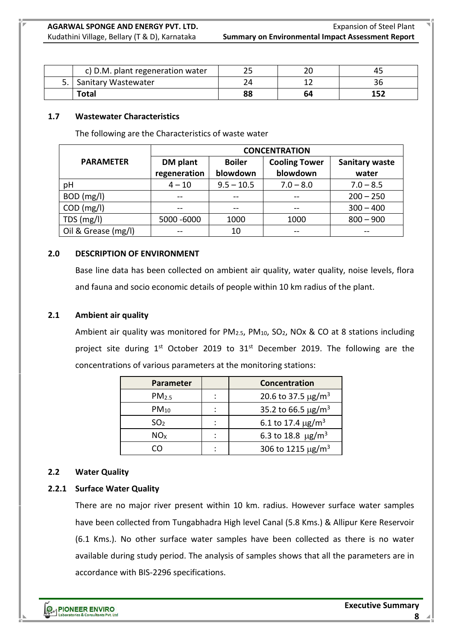|    | c) D.M. plant regeneration water |    |    |  |
|----|----------------------------------|----|----|--|
| 5. | <b>Sanitary Wastewater</b>       |    |    |  |
|    | Total                            | 88 | 64 |  |

# **1.7 Wastewater Characteristics**

The following are the Characteristics of waste water

|                     | <b>CONCENTRATION</b> |               |                      |                       |  |  |
|---------------------|----------------------|---------------|----------------------|-----------------------|--|--|
| <b>PARAMETER</b>    | DM plant             | <b>Boiler</b> | <b>Cooling Tower</b> | <b>Sanitary waste</b> |  |  |
|                     | regeneration         | blowdown      | blowdown             | water                 |  |  |
| рH                  | $4 - 10$             | $9.5 - 10.5$  | $7.0 - 8.0$          | $7.0 - 8.5$           |  |  |
| BOD (mg/l)          | $- -$                | $- -$         |                      | $200 - 250$           |  |  |
| $COD$ (mg/l)        |                      |               |                      | $300 - 400$           |  |  |
| TDS (mg/l)          | 5000 -6000           | 1000          | 1000                 | $800 - 900$           |  |  |
| Oil & Grease (mg/l) | --                   | 10            |                      |                       |  |  |

# **2.0 DESCRIPTION OF ENVIRONMENT**

Base line data has been collected on ambient air quality, water quality, noise levels, flora and fauna and socio economic details of people within 10 km radius of the plant.

# **2.1 Ambient air quality**

Ambient air quality was monitored for  $PM_{2.5}$ ,  $PM_{10}$ ,  $SO_2$ , NOx & CO at 8 stations including project site during  $1^{st}$  October 2019 to  $31^{st}$  December 2019. The following are the concentrations of various parameters at the monitoring stations:

| <b>Parameter</b>  | Concentration                       |
|-------------------|-------------------------------------|
| PM <sub>2.5</sub> | 20.6 to 37.5 $\mu$ g/m <sup>3</sup> |
| $PM_{10}$         | 35.2 to 66.5 $\mu$ g/m <sup>3</sup> |
| SO <sub>2</sub>   | 6.1 to 17.4 $\mu$ g/m <sup>3</sup>  |
| NO <sub>x</sub>   | 6.3 to 18.8 $\mu$ g/m <sup>3</sup>  |
|                   | 306 to 1215 $\mu$ g/m <sup>3</sup>  |

# **2.2 Water Quality**

# **2.2.1 Surface Water Quality**

There are no major river present within 10 km. radius. However surface water samples have been collected from Tungabhadra High level Canal (5.8 Kms.) & Allipur Kere Reservoir (6.1 Kms.). No other surface water samples have been collected as there is no water available during study period. The analysis of samples shows that all the parameters are in accordance with BIS-2296 specifications.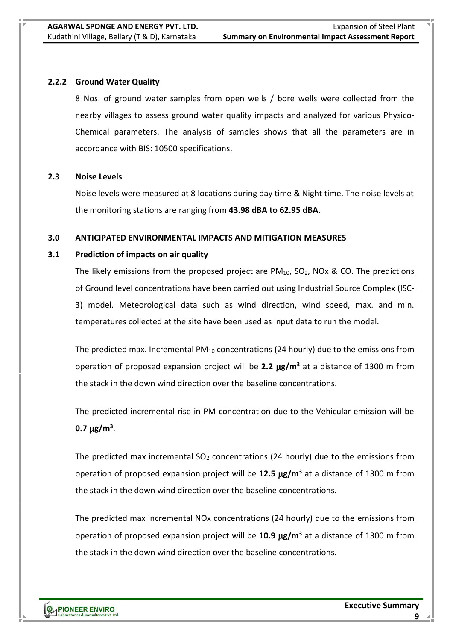# **2.2.2 Ground Water Quality**

8 Nos. of ground water samples from open wells / bore wells were collected from the nearby villages to assess ground water quality impacts and analyzed for various Physico-Chemical parameters. The analysis of samples shows that all the parameters are in accordance with BIS: 10500 specifications.

# **2.3 Noise Levels**

Noise levels were measured at 8 locations during day time & Night time. The noise levels at the monitoring stations are ranging from **43.98 dBA to 62.95 dBA.**

# **3.0 ANTICIPATED ENVIRONMENTAL IMPACTS AND MITIGATION MEASURES**

# **3.1 Prediction of impacts on air quality**

The likely emissions from the proposed project are  $PM_{10}$ , SO<sub>2</sub>, NOx & CO. The predictions of Ground level concentrations have been carried out using Industrial Source Complex (ISC-3) model. Meteorological data such as wind direction, wind speed, max. and min. temperatures collected at the site have been used as input data to run the model.

The predicted max. Incremental  $PM_{10}$  concentrations (24 hourly) due to the emissions from operation of proposed expansion project will be **2.2 g/m<sup>3</sup>** at a distance of 1300 m from the stack in the down wind direction over the baseline concentrations.

The predicted incremental rise in PM concentration due to the Vehicular emission will be **0.7**  $\mu$ g/m<sup>3</sup>.

The predicted max incremental  $SO<sub>2</sub>$  concentrations (24 hourly) due to the emissions from operation of proposed expansion project will be 12.5  $\mu$ g/m<sup>3</sup> at a distance of 1300 m from the stack in the down wind direction over the baseline concentrations.

The predicted max incremental NOx concentrations (24 hourly) due to the emissions from operation of proposed expansion project will be **10.9 g/m<sup>3</sup>** at a distance of 1300 m from the stack in the down wind direction over the baseline concentrations.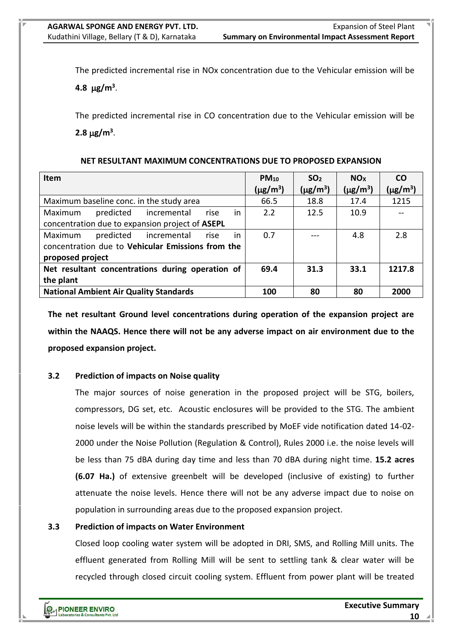The predicted incremental rise in NOx concentration due to the Vehicular emission will be

4.8  $\mu$ g/m<sup>3</sup>.

The predicted incremental rise in CO concentration due to the Vehicular emission will be  $2.8 \,\mu g/m^3$ .

#### **NET RESULTANT MAXIMUM CONCENTRATIONS DUE TO PROPOSED EXPANSION**

| <b>Item</b>                                       | $PM_{10}$                 | SO <sub>2</sub>           | NO <sub>x</sub>           | <b>CO</b>                 |
|---------------------------------------------------|---------------------------|---------------------------|---------------------------|---------------------------|
|                                                   | $(\mu$ g/m <sup>3</sup> ) | $(\mu$ g/m <sup>3</sup> ) | $(\mu$ g/m <sup>3</sup> ) | $(\mu$ g/m <sup>3</sup> ) |
| Maximum baseline conc. in the study area          | 66.5                      | 18.8                      | 17.4                      | 1215                      |
| predicted incremental<br>in<br>Maximum<br>rise    | 2.2                       | 12.5                      | 10.9                      |                           |
| concentration due to expansion project of ASEPL   |                           |                           |                           |                           |
| predicted<br>in<br>incremental<br>Maximum<br>rise | 0.7                       |                           | 4.8                       | 2.8                       |
| concentration due to Vehicular Emissions from the |                           |                           |                           |                           |
| proposed project                                  |                           |                           |                           |                           |
| Net resultant concentrations during operation of  | 69.4                      | 31.3                      | 33.1                      | 1217.8                    |
| the plant                                         |                           |                           |                           |                           |
| <b>National Ambient Air Quality Standards</b>     | 100                       | 80                        | 80                        | 2000                      |

**The net resultant Ground level concentrations during operation of the expansion project are within the NAAQS. Hence there will not be any adverse impact on air environment due to the proposed expansion project.**

# **3.2 Prediction of impacts on Noise quality**

The major sources of noise generation in the proposed project will be STG, boilers, compressors, DG set, etc. Acoustic enclosures will be provided to the STG. The ambient noise levels will be within the standards prescribed by MoEF vide notification dated 14-02- 2000 under the Noise Pollution (Regulation & Control), Rules 2000 i.e. the noise levels will be less than 75 dBA during day time and less than 70 dBA during night time. **15.2 acres (6.07 Ha.)** of extensive greenbelt will be developed (inclusive of existing) to further attenuate the noise levels. Hence there will not be any adverse impact due to noise on population in surrounding areas due to the proposed expansion project.

# **3.3 Prediction of impacts on Water Environment**

Closed loop cooling water system will be adopted in DRI, SMS, and Rolling Mill units. The effluent generated from Rolling Mill will be sent to settling tank & clear water will be recycled through closed circuit cooling system. Effluent from power plant will be treated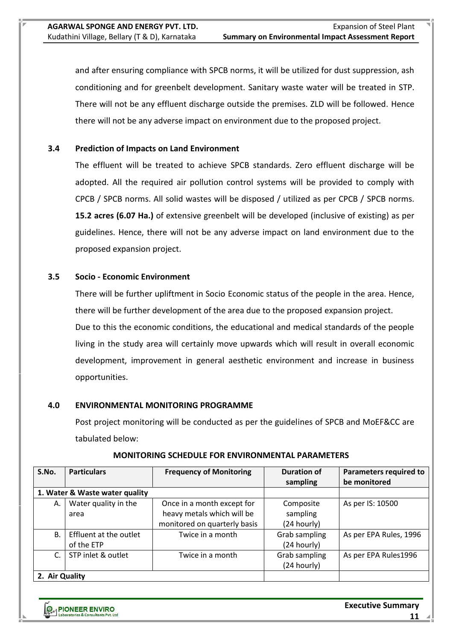and after ensuring compliance with SPCB norms, it will be utilized for dust suppression, ash conditioning and for greenbelt development. Sanitary waste water will be treated in STP. There will not be any effluent discharge outside the premises. ZLD will be followed. Hence there will not be any adverse impact on environment due to the proposed project.

# **3.4 Prediction of Impacts on Land Environment**

The effluent will be treated to achieve SPCB standards. Zero effluent discharge will be adopted. All the required air pollution control systems will be provided to comply with CPCB / SPCB norms. All solid wastes will be disposed / utilized as per CPCB / SPCB norms. **15.2 acres (6.07 Ha.)** of extensive greenbelt will be developed (inclusive of existing) as per guidelines. Hence, there will not be any adverse impact on land environment due to the proposed expansion project.

# **3.5 Socio - Economic Environment**

There will be further upliftment in Socio Economic status of the people in the area. Hence, there will be further development of the area due to the proposed expansion project. Due to this the economic conditions, the educational and medical standards of the people living in the study area will certainly move upwards which will result in overall economic development, improvement in general aesthetic environment and increase in business opportunities.

#### **4.0 ENVIRONMENTAL MONITORING PROGRAMME**

Post project monitoring will be conducted as per the guidelines of SPCB and MoEF&CC are tabulated below:

| S.No.          | <b>Particulars</b><br><b>Frequency of Monitoring</b> |                              | <b>Duration of</b> | <b>Parameters required to</b> |
|----------------|------------------------------------------------------|------------------------------|--------------------|-------------------------------|
|                |                                                      |                              | sampling           | be monitored                  |
|                | 1. Water & Waste water quality                       |                              |                    |                               |
| А.             | Water quality in the                                 | Once in a month except for   | Composite          | As per IS: 10500              |
|                | area                                                 | heavy metals which will be   | sampling           |                               |
|                |                                                      | monitored on quarterly basis | (24 hourly)        |                               |
| <b>B.</b>      | Effluent at the outlet                               | Twice in a month             | Grab sampling      | As per EPA Rules, 1996        |
|                | of the ETP                                           |                              | (24 hourly)        |                               |
| $\mathsf{C}$ . | STP inlet & outlet                                   | Twice in a month             | Grab sampling      | As per EPA Rules1996          |
|                |                                                      |                              | (24 hourly)        |                               |
| 2. Air Quality |                                                      |                              |                    |                               |

#### **MONITORING SCHEDULE FOR ENVIRONMENTAL PARAMETERS**

**PMPIONEER ENVIRO** 

**Executive Summary**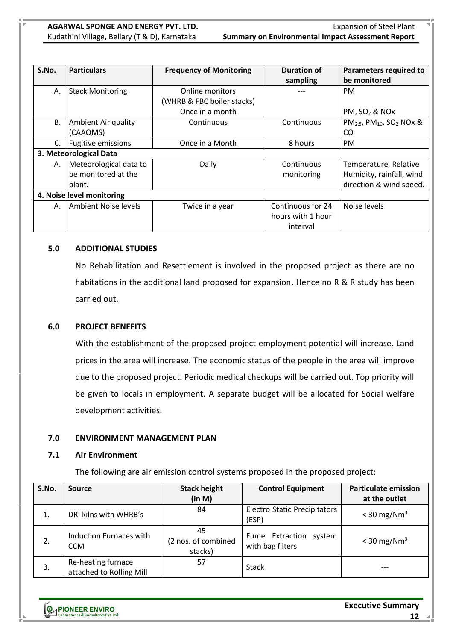| S.No. | <b>Particulars</b>        | <b>Frequency of Monitoring</b> | Duration of       | <b>Parameters required to</b>                                            |
|-------|---------------------------|--------------------------------|-------------------|--------------------------------------------------------------------------|
|       |                           |                                | sampling          | be monitored                                                             |
| Α.    | <b>Stack Monitoring</b>   | Online monitors                |                   | <b>PM</b>                                                                |
|       |                           | (WHRB & FBC boiler stacks)     |                   |                                                                          |
|       |                           | Once in a month                |                   | PM, $SO2$ & NOx                                                          |
| В.    | Ambient Air quality       | Continuous                     | Continuous        | PM <sub>2.5</sub> , PM <sub>10</sub> , SO <sub>2</sub> NO <sub>x</sub> & |
|       | (CAAQMS)                  |                                |                   | CO                                                                       |
| C.    | <b>Fugitive emissions</b> | Once in a Month                | 8 hours           |                                                                          |
|       | 3. Meteorological Data    |                                |                   |                                                                          |
| А.    | Meteorological data to    | Daily                          | Continuous        | Temperature, Relative                                                    |
|       | be monitored at the       |                                | monitoring        | Humidity, rainfall, wind                                                 |
|       | plant.                    |                                |                   | direction & wind speed.                                                  |
|       | 4. Noise level monitoring |                                |                   |                                                                          |
| А.    | Ambient Noise levels      | Twice in a year                | Continuous for 24 | Noise levels                                                             |
|       |                           |                                | hours with 1 hour |                                                                          |
|       |                           |                                | interval          |                                                                          |

#### **5.0 ADDITIONAL STUDIES**

No Rehabilitation and Resettlement is involved in the proposed project as there are no habitations in the additional land proposed for expansion. Hence no R & R study has been carried out.

#### **6.0 PROJECT BENEFITS**

With the establishment of the proposed project employment potential will increase. Land prices in the area will increase. The economic status of the people in the area will improve due to the proposed project. Periodic medical checkups will be carried out. Top priority will be given to locals in employment. A separate budget will be allocated for Social welfare development activities.

#### **7.0 ENVIRONMENT MANAGEMENT PLAN**

#### **7.1 Air Environment**

The following are air emission control systems proposed in the proposed project:

| S.No. | <b>Source</b>                                  | <b>Stack height</b>                  | <b>Control Equipment</b>                      | <b>Particulate emission</b> |
|-------|------------------------------------------------|--------------------------------------|-----------------------------------------------|-----------------------------|
|       |                                                | (in M)                               |                                               | at the outlet               |
| 1.    | DRI kilns with WHRB's                          | 84                                   | <b>Electro Static Precipitators</b><br>(ESP)  | $<$ 30 mg/Nm <sup>3</sup>   |
| 2.    | Induction Furnaces with<br><b>CCM</b>          | 45<br>(2 nos. of combined<br>stacks) | Fume Extraction<br>system<br>with bag filters | $<$ 30 mg/Nm <sup>3</sup>   |
| 3.    | Re-heating furnace<br>attached to Rolling Mill | 57                                   | <b>Stack</b>                                  |                             |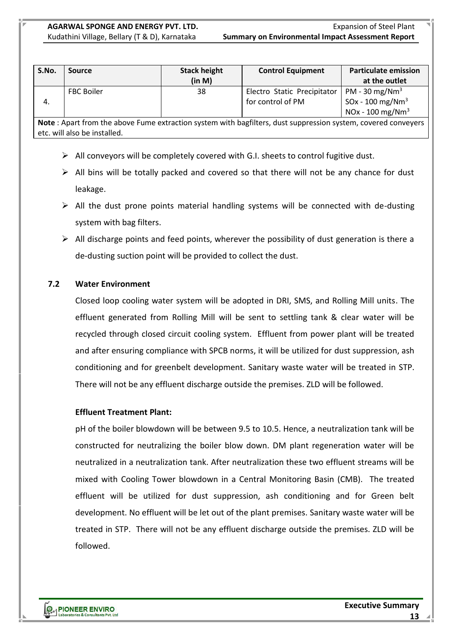| S.No. | Source            | <b>Stack height</b><br>(in M) | <b>Control Equipment</b>                         | <b>Particulate emission</b><br>at the outlet                                                           |
|-------|-------------------|-------------------------------|--------------------------------------------------|--------------------------------------------------------------------------------------------------------|
| 4.    | <b>FBC Boiler</b> | 38                            | Electro Static Precipitator<br>for control of PM | PM - 30 mg/Nm <sup>3</sup><br>SOx - 100 mg/Nm <sup>3</sup><br>NO <sub>x</sub> - 100 mg/Nm <sup>3</sup> |

**Note** : Apart from the above Fume extraction system with bagfilters, dust suppression system, covered conveyers etc. will also be installed.

- $\triangleright$  All conveyors will be completely covered with G.I. sheets to control fugitive dust.
- $\triangleright$  All bins will be totally packed and covered so that there will not be any chance for dust leakage.
- $\triangleright$  All the dust prone points material handling systems will be connected with de-dusting system with bag filters.
- $\triangleright$  All discharge points and feed points, wherever the possibility of dust generation is there a de-dusting suction point will be provided to collect the dust.

# **7.2 Water Environment**

Closed loop cooling water system will be adopted in DRI, SMS, and Rolling Mill units. The effluent generated from Rolling Mill will be sent to settling tank & clear water will be recycled through closed circuit cooling system. Effluent from power plant will be treated and after ensuring compliance with SPCB norms, it will be utilized for dust suppression, ash conditioning and for greenbelt development. Sanitary waste water will be treated in STP. There will not be any effluent discharge outside the premises. ZLD will be followed.

#### **Effluent Treatment Plant:**

pH of the boiler blowdown will be between 9.5 to 10.5. Hence, a neutralization tank will be constructed for neutralizing the boiler blow down. DM plant regeneration water will be neutralized in a neutralization tank. After neutralization these two effluent streams will be mixed with Cooling Tower blowdown in a Central Monitoring Basin (CMB). The treated effluent will be utilized for dust suppression, ash conditioning and for Green belt development. No effluent will be let out of the plant premises. Sanitary waste water will be treated in STP. There will not be any effluent discharge outside the premises. ZLD will be followed.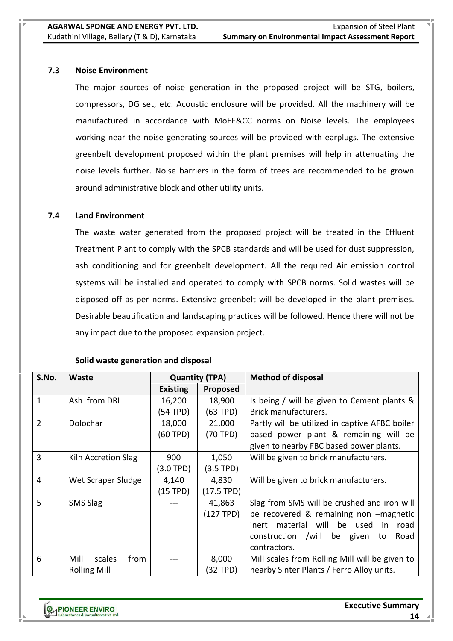#### **7.3 Noise Environment**

The major sources of noise generation in the proposed project will be STG, boilers, compressors, DG set, etc. Acoustic enclosure will be provided. All the machinery will be manufactured in accordance with MoEF&CC norms on Noise levels. The employees working near the noise generating sources will be provided with earplugs. The extensive greenbelt development proposed within the plant premises will help in attenuating the noise levels further. Noise barriers in the form of trees are recommended to be grown around administrative block and other utility units.

# **7.4 Land Environment**

The waste water generated from the proposed project will be treated in the Effluent Treatment Plant to comply with the SPCB standards and will be used for dust suppression, ash conditioning and for greenbelt development. All the required Air emission control systems will be installed and operated to comply with SPCB norms. Solid wastes will be disposed off as per norms. Extensive greenbelt will be developed in the plant premises. Desirable beautification and landscaping practices will be followed. Hence there will not be any impact due to the proposed expansion project.

| S.No.          | Waste                  | <b>Quantity (TPA)</b> |              | <b>Method of disposal</b>                      |  |
|----------------|------------------------|-----------------------|--------------|------------------------------------------------|--|
|                |                        | <b>Existing</b>       | Proposed     |                                                |  |
| $\mathbf{1}$   | Ash from DRI           | 16,200                | 18,900       | Is being / will be given to Cement plants &    |  |
|                |                        | (54 TPD)              | (63 TPD)     | Brick manufacturers.                           |  |
| $\overline{2}$ | Dolochar               | 18,000                | 21,000       | Partly will be utilized in captive AFBC boiler |  |
|                |                        | (60 TPD)              | (70 TPD)     | based power plant & remaining will be          |  |
|                |                        |                       |              | given to nearby FBC based power plants.        |  |
| 3              | Kiln Accretion Slag    | 900                   | 1,050        | Will be given to brick manufacturers.          |  |
|                |                        | $(3.0$ TPD)           | (3.5 TPD)    |                                                |  |
| $\overline{4}$ | Wet Scraper Sludge     | 4,140                 | 4,830        | Will be given to brick manufacturers.          |  |
|                |                        | (15 TPD)              | $(17.5$ TPD) |                                                |  |
| 5              | <b>SMS Slag</b>        |                       | 41,863       | Slag from SMS will be crushed and iron will    |  |
|                |                        |                       | (127 TPD)    | be recovered & remaining non -magnetic         |  |
|                |                        |                       |              | inert material will be used<br>in i<br>road    |  |
|                |                        |                       |              | construction /will<br>be given<br>Road<br>to   |  |
|                |                        |                       |              | contractors.                                   |  |
| 6              | Mill<br>scales<br>from |                       | 8,000        | Mill scales from Rolling Mill will be given to |  |
|                | <b>Rolling Mill</b>    |                       | (32 TPD)     | nearby Sinter Plants / Ferro Alloy units.      |  |

#### **Solid waste generation and disposal**